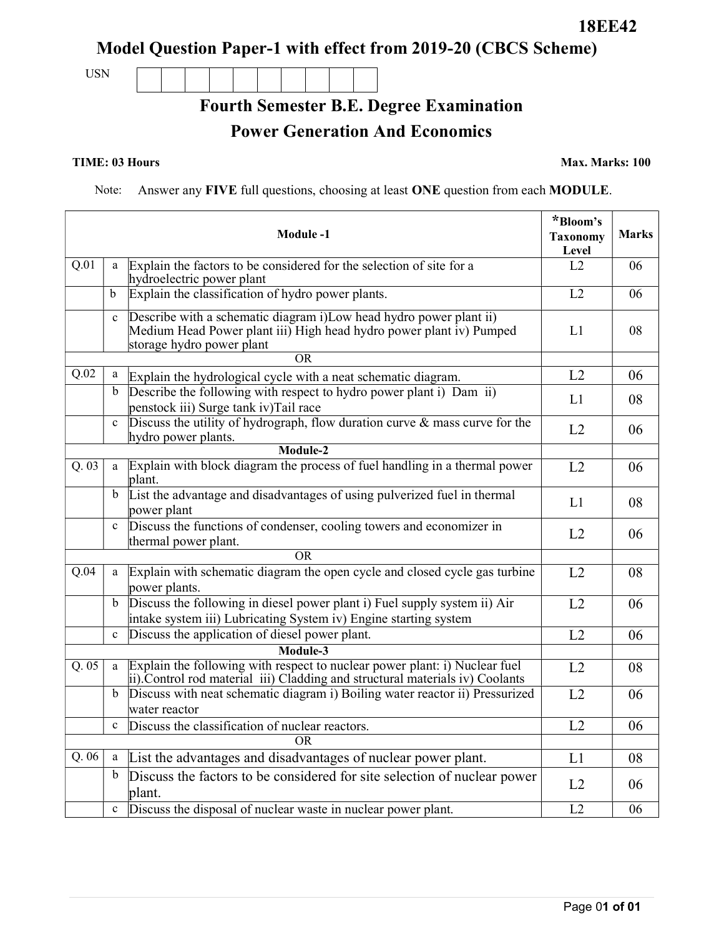Page 01 of 01

Model Question Paper-1 with effect from 2019-20 (CBCS Scheme)

Fourth Semester B.E. Degree Examination

Power Generation And Economics

USN

TIME: 03 Hours Max. Marks: 100

Note: Answer any FIVE full questions, choosing at least ONE question from each MODULE.

|      |              | <b>Module-1</b>                                                                                                                                                        | *Bloom's<br><b>Taxonomy</b><br>Level | <b>Marks</b> |
|------|--------------|------------------------------------------------------------------------------------------------------------------------------------------------------------------------|--------------------------------------|--------------|
| Q.01 | a            | Explain the factors to be considered for the selection of site for a<br>hydroelectric power plant                                                                      | L2                                   | 06           |
|      | b            | Explain the classification of hydro power plants.                                                                                                                      | L2                                   | 06           |
|      | $\mathbf{c}$ | Describe with a schematic diagram i)Low head hydro power plant ii)<br>Medium Head Power plant iii) High head hydro power plant iv) Pumped<br>storage hydro power plant | L1                                   | 08           |
|      |              | OR                                                                                                                                                                     |                                      |              |
| Q.02 | a            | Explain the hydrological cycle with a neat schematic diagram.                                                                                                          | L2                                   | 06           |
|      | $\mathbf b$  | Describe the following with respect to hydro power plant i) Dam ii)<br>penstock iii) Surge tank iv)Tail race                                                           | L1                                   | 08           |
|      | $\mathbf{c}$ | Discuss the utility of hydrograph, flow duration curve $\&$ mass curve for the<br>hydro power plants.                                                                  | L2                                   | 06           |
|      |              | Module-2                                                                                                                                                               |                                      |              |
| Q.03 | a            | Explain with block diagram the process of fuel handling in a thermal power<br>plant.                                                                                   | L2                                   | 06           |
|      | $\mathbf b$  | List the advantage and disadvantages of using pulverized fuel in thermal<br>power plant                                                                                | L1                                   | 08           |
|      | $\mathbf{c}$ | Discuss the functions of condenser, cooling towers and economizer in<br>thermal power plant.                                                                           | L2                                   | 06           |
|      |              | OR.                                                                                                                                                                    |                                      |              |
| Q.04 | a            | Explain with schematic diagram the open cycle and closed cycle gas turbine<br>power plants.                                                                            | L2                                   | 08           |
|      | b            | Discuss the following in diesel power plant i) Fuel supply system ii) Air<br>intake system iii) Lubricating System iv) Engine starting system                          | L2                                   | 06           |
|      | $\mathbf c$  | Discuss the application of diesel power plant.                                                                                                                         | L2                                   | 06           |
|      |              | Module-3                                                                                                                                                               |                                      |              |
| Q.05 | a            | Explain the following with respect to nuclear power plant: i) Nuclear fuel<br>ii). Control rod material iii) Cladding and structural materials iv) Coolants            | L2                                   | 08           |
|      | b            | Discuss with neat schematic diagram i) Boiling water reactor ii) Pressurized<br>water reactor                                                                          | L2                                   | 06           |
|      | $\mathbf c$  | Discuss the classification of nuclear reactors.                                                                                                                        | L2                                   | 06           |
|      |              | OR.                                                                                                                                                                    |                                      |              |
| Q.06 | a            | List the advantages and disadvantages of nuclear power plant.                                                                                                          | L1                                   | 08           |
|      | b            | Discuss the factors to be considered for site selection of nuclear power<br>plant.                                                                                     | L2                                   | 06           |
|      | $\mathbf c$  | Discuss the disposal of nuclear waste in nuclear power plant.                                                                                                          | L2                                   | 06           |